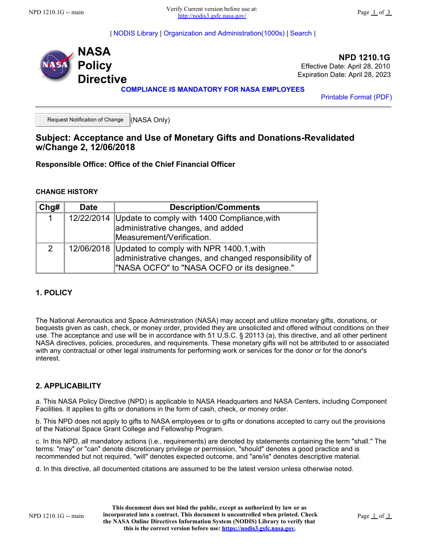| [NODIS Library](https://nodis3.gsfc.nasa.gov/main_lib.html) | [Organization and Administration\(1000s\)](https://nodis3.gsfc.nasa.gov/lib_docs.cfm?range=1) | [Search](https://nodis3.gsfc.nasa.gov/adv_search.cfm) |



**NPD 1210.1G** Effective Date: April 28, 2010 Expiration Date: April 28, 2023

**COMPLIANCE IS MANDATORY FOR NASA EMPLOYEES**

[Printable Format \(PDF\)](https://nodis3.gsfc.nasa.gov/displayDir.cfm?Internal_ID=N_PD_1210_001G_&page_name=main&format=PDF)

Request Notification of Change (NASA Only)

## **Subject: Acceptance and Use of Monetary Gifts and Donations-Revalidated w/Change 2, 12/06/2018**

**Responsible Office: Office of the Chief Financial Officer**

#### **CHANGE HISTORY**

| Chg#          | <b>Date</b> | <b>Description/Comments</b>                                                                                                                                |
|---------------|-------------|------------------------------------------------------------------------------------------------------------------------------------------------------------|
| $\mathbf{1}$  | 12/22/2014  | Update to comply with 1400 Compliance, with<br>administrative changes, and added                                                                           |
|               |             | Measurement/Verification.                                                                                                                                  |
| $\mathcal{P}$ |             | 12/06/2018 Updated to comply with NPR 1400.1, with<br>administrative changes, and changed responsibility of<br>"NASA OCFO" to "NASA OCFO or its designee." |

## **1. POLICY**

The National Aeronautics and Space Administration (NASA) may accept and utilize monetary gifts, donations, or bequests given as cash, check, or money order, provided they are unsolicited and offered without conditions on their use. The acceptance and use will be in accordance with 51 U.S.C. § 20113 (a), this directive, and all other pertinent NASA directives, policies, procedures, and requirements. These monetary gifts will not be attributed to or associated with any contractual or other legal instruments for performing work or services for the donor or for the donor's interest.

#### **2. APPLICABILITY**

a. This NASA Policy Directive (NPD) is applicable to NASA Headquarters and NASA Centers, including Component Facilities. It applies to gifts or donations in the form of cash, check, or money order.

b. This NPD does not apply to gifts to NASA employees or to gifts or donations accepted to carry out the provisions of the National Space Grant College and Fellowship Program.

c. In this NPD, all mandatory actions (i.e., requirements) are denoted by statements containing the term "shall." The terms: "may" or "can" denote discretionary privilege or permission, "should" denotes a good practice and is recommended but not required, "will" denotes expected outcome, and "are/is" denotes descriptive material.

d. In this directive, all documented citations are assumed to be the latest version unless otherwise noted.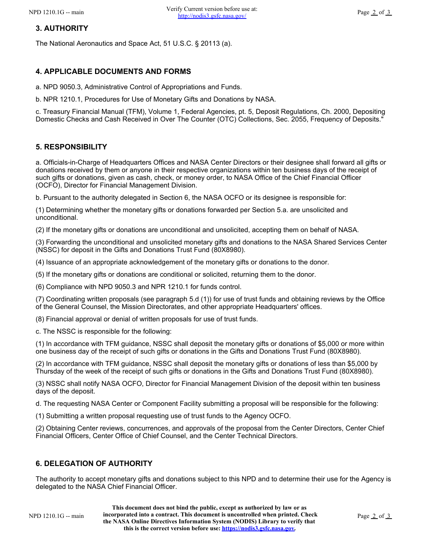# **3. AUTHORITY**

The National Aeronautics and Space Act, 51 U.S.C. § 20113 (a).

# **4. APPLICABLE DOCUMENTS AND FORMS**

a. NPD 9050.3, Administrative Control of Appropriations and Funds.

b. NPR 1210.1, Procedures for Use of Monetary Gifts and Donations by NASA.

c. Treasury Financial Manual (TFM), Volume 1, Federal Agencies, pt. 5, Deposit Regulations, Ch. 2000, Depositing Domestic Checks and Cash Received in Over The Counter (OTC) Collections, Sec. 2055, Frequency of Deposits."

## **5. RESPONSIBILITY**

a. Officials-in-Charge of Headquarters Offices and NASA Center Directors or their designee shall forward all gifts or donations received by them or anyone in their respective organizations within ten business days of the receipt of such gifts or donations, given as cash, check, or money order, to NASA Office of the Chief Financial Officer (OCFO), Director for Financial Management Division.

b. Pursuant to the authority delegated in Section 6, the NASA OCFO or its designee is responsible for:

(1) Determining whether the monetary gifts or donations forwarded per Section 5.a. are unsolicited and unconditional.

(2) If the monetary gifts or donations are unconditional and unsolicited, accepting them on behalf of NASA.

(3) Forwarding the unconditional and unsolicited monetary gifts and donations to the NASA Shared Services Center (NSSC) for deposit in the Gifts and Donations Trust Fund (80X8980).

(4) Issuance of an appropriate acknowledgement of the monetary gifts or donations to the donor.

(5) If the monetary gifts or donations are conditional or solicited, returning them to the donor.

(6) Compliance with NPD 9050.3 and NPR 1210.1 for funds control.

(7) Coordinating written proposals (see paragraph 5.d (1)) for use of trust funds and obtaining reviews by the Office of the General Counsel, the Mission Directorates, and other appropriate Headquarters' offices.

(8) Financial approval or denial of written proposals for use of trust funds.

c. The NSSC is responsible for the following:

(1) In accordance with TFM guidance, NSSC shall deposit the monetary gifts or donations of \$5,000 or more within one business day of the receipt of such gifts or donations in the Gifts and Donations Trust Fund (80X8980).

(2) In accordance with TFM guidance, NSSC shall deposit the monetary gifts or donations of less than \$5,000 by Thursday of the week of the receipt of such gifts or donations in the Gifts and Donations Trust Fund (80X8980).

(3) NSSC shall notify NASA OCFO, Director for Financial Management Division of the deposit within ten business days of the deposit.

d. The requesting NASA Center or Component Facility submitting a proposal will be responsible for the following:

(1) Submitting a written proposal requesting use of trust funds to the Agency OCFO.

(2) Obtaining Center reviews, concurrences, and approvals of the proposal from the Center Directors, Center Chief Financial Officers, Center Office of Chief Counsel, and the Center Technical Directors.

## **6. DELEGATION OF AUTHORITY**

The authority to accept monetary gifts and donations subject to this NPD and to determine their use for the Agency is delegated to the NASA Chief Financial Officer.